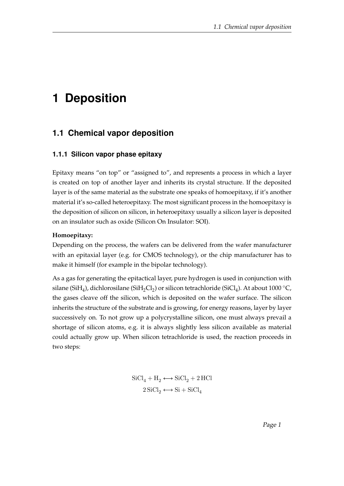# **1 Deposition**

# **1.1 Chemical vapor deposition**

#### **1.1.1 Silicon vapor phase epitaxy**

Epitaxy means "on top" or "assigned to", and represents a process in which a layer is created on top of another layer and inherits its crystal structure. If the deposited layer is of the same material as the substrate one speaks of homoepitaxy, if it's another material it's so-called heteroepitaxy. The most significant process in the homoepitaxy is the deposition of silicon on silicon, in heteroepitaxy usually a silicon layer is deposited on an insulator such as oxide (Silicon On Insulator: SOI).

#### **Homoepitaxy:**

Depending on the process, the wafers can be delivered from the wafer manufacturer with an epitaxial layer (e.g. for CMOS technology), or the chip manufacturer has to make it himself (for example in the bipolar technology).

As a gas for generating the epitactical layer, pure hydrogen is used in conjunction with silane (Si $\rm H_4$ ), dichlorosilane (Si $\rm H_2Cl_2$ ) or silicon tetrachloride (Si $\rm Cl_4$ ). At about 1000 °C, the gases cleave off the silicon, which is deposited on the wafer surface. The silicon inherits the structure of the substrate and is growing, for energy reasons, layer by layer successively on. To not grow up a polycrystalline silicon, one must always prevail a shortage of silicon atoms, e.g. it is always slightly less silicon available as material could actually grow up. When silicon tetrachloride is used, the reaction proceeds in two steps:

$$
\text{SiCl}_4 + \text{H}_2 \longleftrightarrow \text{SiCl}_2 + 2 \text{ HCl}
$$

$$
2 \text{SiCl}_2 \longleftrightarrow \text{Si} + \text{SiCl}_4
$$

Page 1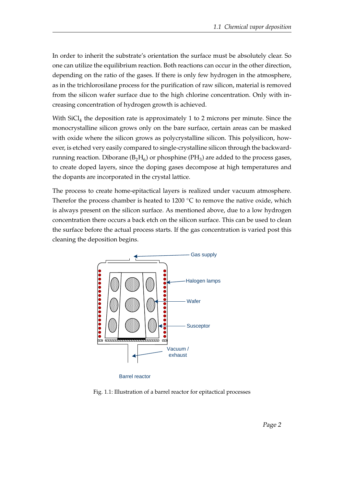In order to inherit the substrate's orientation the surface must be absolutely clear. So one can utilize the equilibrium reaction. Both reactions can occur in the other direction, depending on the ratio of the gases. If there is only few hydrogen in the atmosphere, as in the trichlorosilane process for the purification of raw silicon, material is removed from the silicon wafer surface due to the high chlorine concentration. Only with increasing concentration of hydrogen growth is achieved.

With  $SiCl<sub>4</sub>$  the deposition rate is approximately 1 to 2 microns per minute. Since the monocrystalline silicon grows only on the bare surface, certain areas can be masked with oxide where the silicon grows as polycrystalline silicon. This polysilicon, however, is etched very easily compared to single-crystalline silicon through the backwardrunning reaction. Diborane ( $B_2H_6$ ) or phosphine (P $H_3$ ) are added to the process gases, to create doped layers, since the doping gases decompose at high temperatures and the dopants are incorporated in the crystal lattice.

The process to create home-epitactical layers is realized under vacuum atmosphere. Therefor the process chamber is heated to 1200  $\degree$ C to remove the native oxide, which is always present on the silicon surface. As mentioned above, due to a low hydrogen concentration there occurs a back etch on the silicon surface. This can be used to clean the surface before the actual process starts. If the gas concentration is varied post this cleaning the deposition begins.



Barrel reactor

Fig. 1.1: Illustration of a barrel reactor for epitactical processes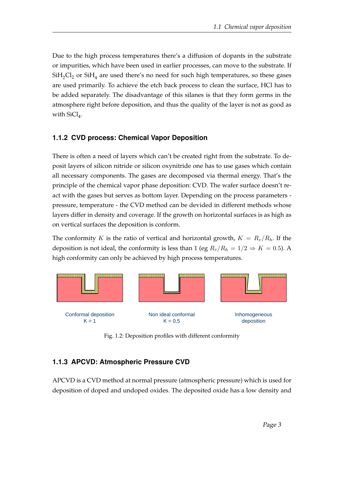Due to the high process temperatures there's a diffusion of dopants in the substrate or impurities, which have been used in earlier processes, can move to the substrate. If  $\mathrm{SiH}_2\mathrm{Cl}_2$  or  $\mathrm{SiH}_4$  are used there's no need for such high temperatures, so these gases are used primarily. To achieve the etch back process to clean the surface, HCl has to be added separately. The disadvantage of this silanes is that they form germs in the atmosphere right before deposition, and thus the quality of the layer is not as good as with  $\rm SiCl_4$ .

### **1.1.2 CVD process: Chemical Vapor Deposition**

There is often a need of layers which can't be created right from the substrate. To deposit layers of silicon nitride or silicon oxynitride one has to use gases which contain all necessary components. The gases are decomposed via thermal energy. That's the principle of the chemical vapor phase deposition: CVD. The wafer surface doesn't react with the gases but serves as bottom layer. Depending on the process parameters pressure, temperature - the CVD method can be devided in different methods whose layers differ in density and coverage. If the growth on horizontal surfaces is as high as on vertical surfaces the deposition is conform.

The conformity K is the ratio of vertical and horizontal growth,  $K = R_v/R_h$ . If the deposition is not ideal, the conformity is less than 1 (eg  $R_v/R_h = 1/2 \Rightarrow K = 0.5$ ). A high conformity can only be achieved by high process temperatures.



Fig. 1.2: Deposition profiles with different conformity

# **1.1.3 APCVD: Atmospheric Pressure CVD**

APCVD is a CVD method at normal pressure (atmospheric pressure) which is used for deposition of doped and undoped oxides. The deposited oxide has a low density and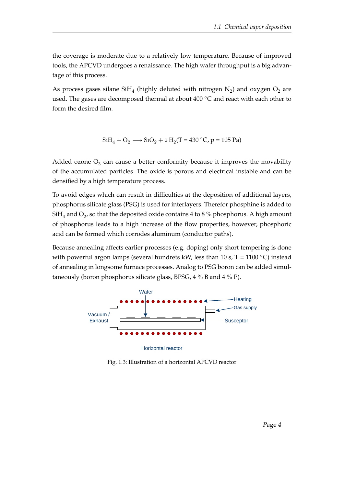the coverage is moderate due to a relatively low temperature. Because of improved tools, the APCVD undergoes a renaissance. The high wafer throughput is a big advantage of this process.

As process gases silane Si $\rm H_4$  (highly deluted with nitrogen  $\rm N_2$ ) and oxygen  $\rm O_2$  are used. The gases are decomposed thermal at about  $400\degree$ C and react with each other to form the desired film.

$$
\text{SiH}_4 + \text{O}_2 \longrightarrow \text{SiO}_2 + 2\,\text{H}_2(\text{T} = 430\,^{\circ}\text{C}, \text{p} = 105\,\text{Pa})
$$

Added ozone  $\mathrm{O}_3$  can cause a better conformity because it improves the movability of the accumulated particles. The oxide is porous and electrical instable and can be densified by a high temperature process.

To avoid edges which can result in difficulties at the deposition of additional layers, phosphorus silicate glass (PSG) is used for interlayers. Therefor phosphine is added to Si $\rm H_4$  and  $\rm O_2$ , so that the deposited oxide contains 4 to 8 % phosphorus. A high amount of phosphorus leads to a high increase of the flow properties, however, phosphoric acid can be formed which corrodes aluminum (conductor paths).

Because annealing affects earlier processes (e.g. doping) only short tempering is done with powerful argon lamps (several hundrets kW, less than 10 s, T = 1100 °C) instead of annealing in longsome furnace processes. Analog to PSG boron can be added simultaneously (boron phosphorus silicate glass, BPSG, 4 % B and 4 % P).



Fig. 1.3: Illustration of a horizontal APCVD reactor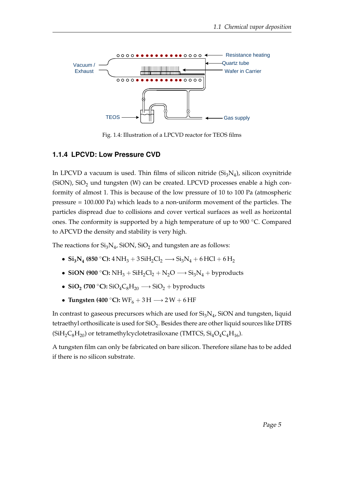

Fig. 1.4: Illustration of a LPCVD reactor for TEOS films

#### **1.1.4 LPCVD: Low Pressure CVD**

In LPCVD a vacuum is used. Thin films of silicon nitride  $(\rm{Si}_3\rm{N}_4)$ , silicon oxynitride (SiON), SiO<sub>2</sub> und tungsten (W) can be created. LPCVD processes enable a high conformity of almost 1. This is because of the low pressure of 10 to 100 Pa (atmospheric pressure = 100.000 Pa) which leads to a non-uniform movement of the particles. The particles dispread due to collisions and cover vertical surfaces as well as horizontal ones. The conformity is supported by a high temperature of up to 900 ◦C. Compared to APCVD the density and stability is very high.

The reactions for  $\rm Si_3N_4$ , SiON, SiO<sub>2</sub> and tungsten are as follows:

- **Si**<sub>3</sub>**N**<sub>4</sub></sub> (850 °C):  $4 \text{ NH}_3 + 3 \text{SiH}_2\text{Cl}_2 \longrightarrow \text{Si}_3\text{N}_4 + 6 \text{ HCl} + 6 \text{H}_2$
- **SiON (900** °C):  $NH_3 + SiH_2Cl_2 + N_2O \longrightarrow Si_3N_4 + by products$
- $\text{SiO}_2$  (700 °C):  $\text{SiO}_4\text{C}_8\text{H}_{20} \longrightarrow \text{SiO}_2 + \text{byproducts}$
- **Tungsten (400** °C):  $WF_6 + 3H \rightarrow 2W + 6HF$

In contrast to gaseous precursors which are used for  $\mathrm{Si}_3\mathrm{N}_4$ , SiON and tungsten, liquid tetraethyl orthosilicate is used for SiO $_2$ . Besides there are other liquid sources like DTBS  $(SiH_2C_8H_{20})$  or tetramethylcyclotetrasiloxane (TMTCS,  $Si_4O_4C_4H_{16}$ ).

A tungsten film can only be fabricated on bare silicon. Therefore silane has to be added if there is no silicon substrate.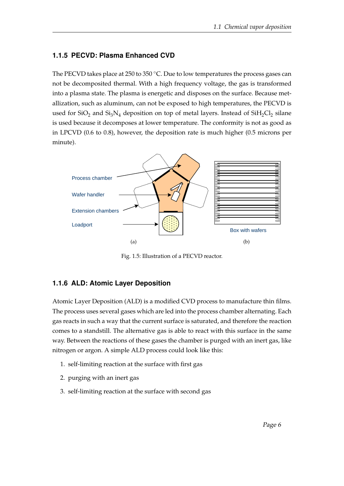## **1.1.5 PECVD: Plasma Enhanced CVD**

The PECVD takes place at 250 to 350  $°C$ . Due to low temperatures the process gases can not be decomposited thermal. With a high frequency voltage, the gas is transformed into a plasma state. The plasma is energetic and disposes on the surface. Because metallization, such as aluminum, can not be exposed to high temperatures, the PECVD is used for SiO<sub>2</sub> and Si<sub>3</sub>N<sub>4</sub> deposition on top of metal layers. Instead of SiH<sub>2</sub>Cl<sub>2</sub> silane is used because it decomposes at lower temperature. The conformity is not as good as in LPCVD (0.6 to 0.8), however, the deposition rate is much higher (0.5 microns per minute).



Fig. 1.5: Illustration of a PECVD reactor.

### **1.1.6 ALD: Atomic Layer Deposition**

Atomic Layer Deposition (ALD) is a modified CVD process to manufacture thin films. The process uses several gases which are led into the process chamber alternating. Each gas reacts in such a way that the current surface is saturated, and therefore the reaction comes to a standstill. The alternative gas is able to react with this surface in the same way. Between the reactions of these gases the chamber is purged with an inert gas, like nitrogen or argon. A simple ALD process could look like this:

- 1. self-limiting reaction at the surface with first gas
- 2. purging with an inert gas
- 3. self-limiting reaction at the surface with second gas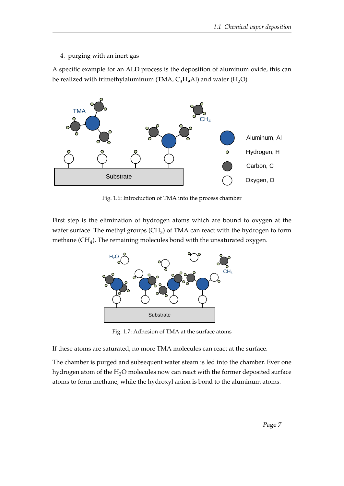4. purging with an inert gas

A specific example for an ALD process is the deposition of aluminum oxide, this can be realized with trimethylaluminum (TMA,  $C_3H_9$ Al) and water (H<sub>2</sub>O).



Fig. 1.6: Introduction of TMA into the process chamber

First step is the elimination of hydrogen atoms which are bound to oxygen at the wafer surface. The methyl groups (CH<sub>3</sub>) of TMA can react with the hydrogen to form methane (CH<sub>4</sub>). The remaining molecules bond with the unsaturated oxygen.



Fig. 1.7: Adhesion of TMA at the surface atoms

If these atoms are saturated, no more TMA molecules can react at the surface.

The chamber is purged and subsequent water steam is led into the chamber. Ever one hydrogen atom of the  $H_2O$  molecules now can react with the former deposited surface atoms to form methane, while the hydroxyl anion is bond to the aluminum atoms.